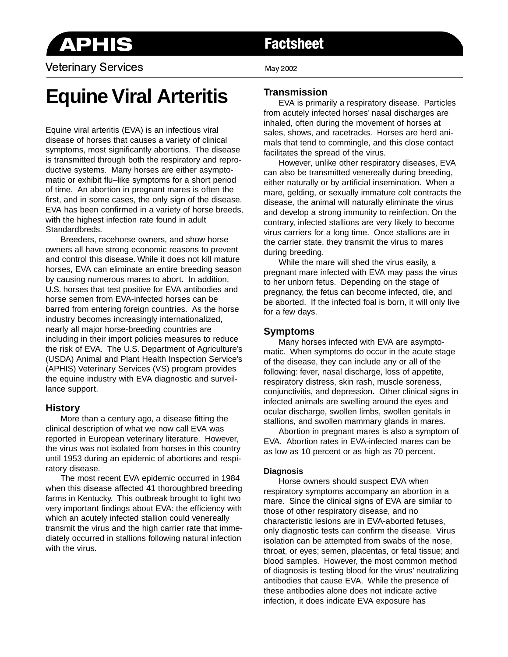

Veterinary Services **May 2002** May 2002

# **Factsheet**

# **Equine Viral Arteritis**

Equine viral arteritis (EVA) is an infectious viral disease of horses that causes a variety of clinical symptoms, most significantly abortions. The disease is transmitted through both the respiratory and reproductive systems. Many horses are either asymptomatic or exhibit flu–like symptoms for a short period of time. An abortion in pregnant mares is often the first, and in some cases, the only sign of the disease. EVA has been confirmed in a variety of horse breeds, with the highest infection rate found in adult Standardbreds.

Breeders, racehorse owners, and show horse owners all have strong economic reasons to prevent and control this disease. While it does not kill mature horses, EVA can eliminate an entire breeding season by causing numerous mares to abort. In addition, U.S. horses that test positive for EVA antibodies and horse semen from EVA-infected horses can be barred from entering foreign countries. As the horse industry becomes increasingly internationalized, nearly all major horse-breeding countries are including in their import policies measures to reduce the risk of EVA. The U.S. Department of Agriculture's (USDA) Animal and Plant Health Inspection Service's (APHIS) Veterinary Services (VS) program provides the equine industry with EVA diagnostic and surveillance support.

### **History**

More than a century ago, a disease fitting the clinical description of what we now call EVA was reported in European veterinary literature. However, the virus was not isolated from horses in this country until 1953 during an epidemic of abortions and respiratory disease.

The most recent EVA epidemic occurred in 1984 when this disease affected 41 thoroughbred breeding farms in Kentucky. This outbreak brought to light two very important findings about EVA: the efficiency with which an acutely infected stallion could venereally transmit the virus and the high carrier rate that immediately occurred in stallions following natural infection with the virus.

## **Transmission**

EVA is primarily a respiratory disease. Particles from acutely infected horses' nasal discharges are inhaled, often during the movement of horses at sales, shows, and racetracks. Horses are herd animals that tend to commingle, and this close contact facilitates the spread of the virus.

However, unlike other respiratory diseases, EVA can also be transmitted venereally during breeding, either naturally or by artificial insemination. When a mare, gelding, or sexually immature colt contracts the disease, the animal will naturally eliminate the virus and develop a strong immunity to reinfection. On the contrary, infected stallions are very likely to become virus carriers for a long time. Once stallions are in the carrier state, they transmit the virus to mares during breeding.

While the mare will shed the virus easily, a pregnant mare infected with EVA may pass the virus to her unborn fetus. Depending on the stage of pregnancy, the fetus can become infected, die, and be aborted. If the infected foal is born, it will only live for a few days.

#### **Symptoms**

Many horses infected with EVA are asymptomatic. When symptoms do occur in the acute stage of the disease, they can include any or all of the following: fever, nasal discharge, loss of appetite, respiratory distress, skin rash, muscle soreness, conjunctivitis, and depression. Other clinical signs in infected animals are swelling around the eyes and ocular discharge, swollen limbs, swollen genitals in stallions, and swollen mammary glands in mares.

Abortion in pregnant mares is also a symptom of EVA. Abortion rates in EVA-infected mares can be as low as 10 percent or as high as 70 percent.

#### **Diagnosis**

Horse owners should suspect EVA when respiratory symptoms accompany an abortion in a mare. Since the clinical signs of EVA are similar to those of other respiratory disease, and no characteristic lesions are in EVA-aborted fetuses, only diagnostic tests can confirm the disease. Virus isolation can be attempted from swabs of the nose, throat, or eyes; semen, placentas, or fetal tissue; and blood samples. However, the most common method of diagnosis is testing blood for the virus' neutralizing antibodies that cause EVA. While the presence of these antibodies alone does not indicate active infection, it does indicate EVA exposure has